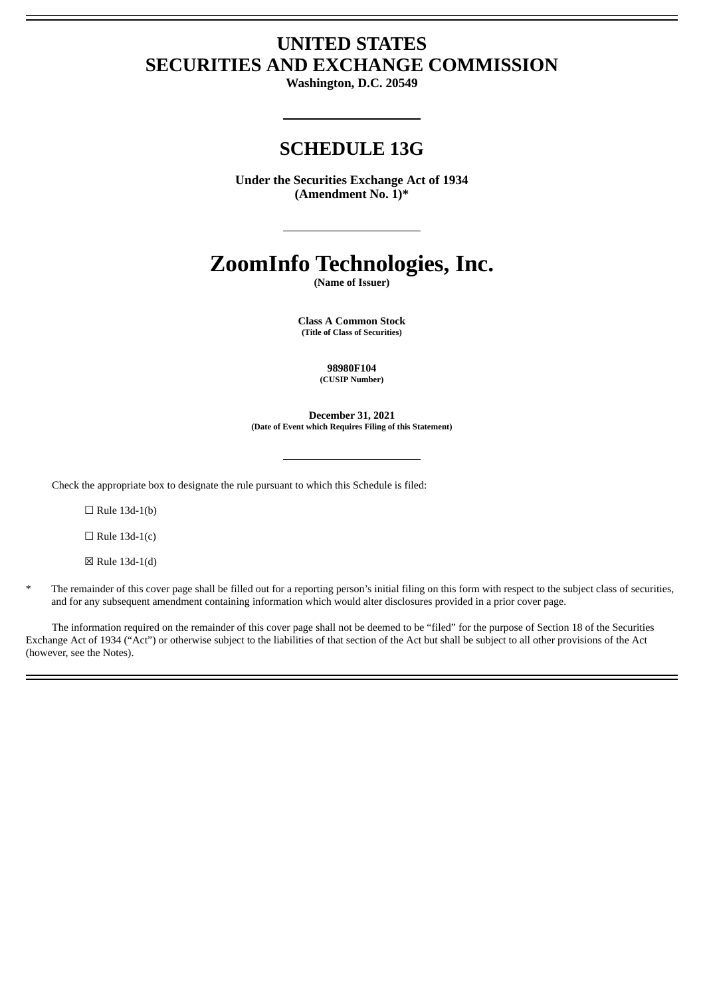# **UNITED STATES SECURITIES AND EXCHANGE COMMISSION**

**Washington, D.C. 20549**

## **SCHEDULE 13G**

**Under the Securities Exchange Act of 1934 (Amendment No. 1)\***

# **ZoomInfo Technologies, Inc.**

**(Name of Issuer)**

**Class A Common Stock (Title of Class of Securities)**

> **98980F104 (CUSIP Number)**

**December 31, 2021 (Date of Event which Requires Filing of this Statement)**

Check the appropriate box to designate the rule pursuant to which this Schedule is filed:

 $\Box$  Rule 13d-1(b)

 $\Box$  Rule 13d-1(c)

☒ Rule 13d-1(d)

The remainder of this cover page shall be filled out for a reporting person's initial filing on this form with respect to the subject class of securities, and for any subsequent amendment containing information which would alter disclosures provided in a prior cover page.

The information required on the remainder of this cover page shall not be deemed to be "filed" for the purpose of Section 18 of the Securities Exchange Act of 1934 ("Act") or otherwise subject to the liabilities of that section of the Act but shall be subject to all other provisions of the Act (however, see the Notes).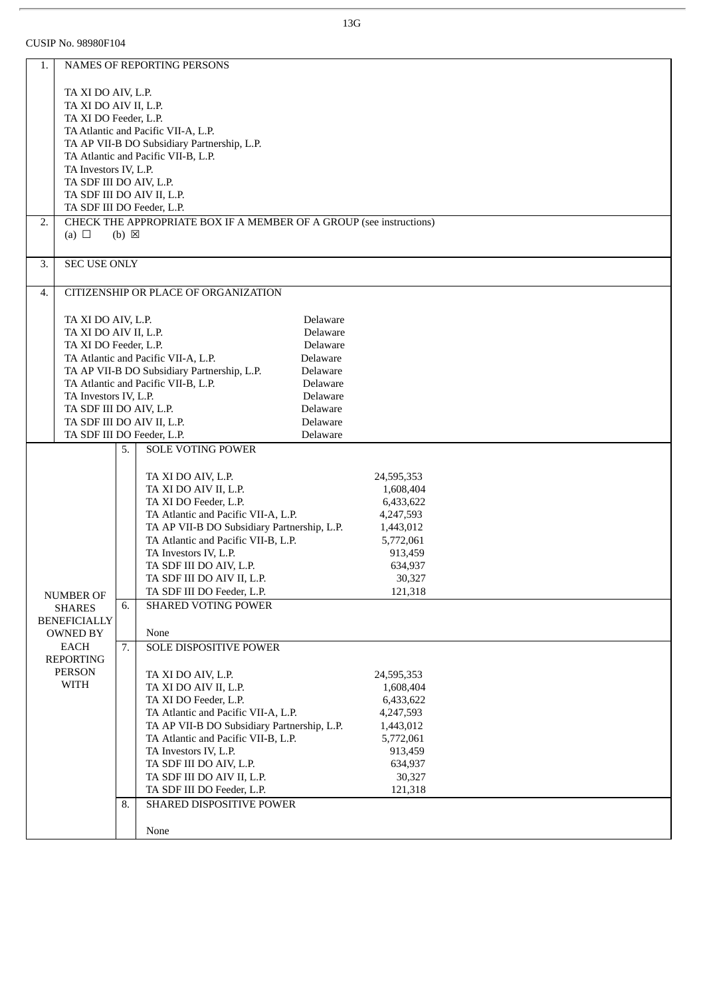CUSIP No. 98980F104

| 1.                              |                                                  |                 | NAMES OF REPORTING PERSONS                                                                      |  |  |  |
|---------------------------------|--------------------------------------------------|-----------------|-------------------------------------------------------------------------------------------------|--|--|--|
|                                 |                                                  |                 |                                                                                                 |  |  |  |
|                                 | TA XI DO AIV, L.P.                               |                 |                                                                                                 |  |  |  |
|                                 | TA XI DO AIV II, L.P.                            |                 |                                                                                                 |  |  |  |
|                                 | TA XI DO Feeder, L.P.                            |                 |                                                                                                 |  |  |  |
|                                 |                                                  |                 | TA Atlantic and Pacific VII-A, L.P.                                                             |  |  |  |
|                                 |                                                  |                 | TA AP VII-B DO Subsidiary Partnership, L.P.                                                     |  |  |  |
|                                 |                                                  |                 | TA Atlantic and Pacific VII-B, L.P.                                                             |  |  |  |
|                                 | TA Investors IV, L.P.<br>TA SDF III DO AIV, L.P. |                 |                                                                                                 |  |  |  |
|                                 | TA SDF III DO AIV II, L.P.                       |                 |                                                                                                 |  |  |  |
|                                 | TA SDF III DO Feeder, L.P.                       |                 |                                                                                                 |  |  |  |
| 2.                              |                                                  |                 |                                                                                                 |  |  |  |
|                                 |                                                  |                 | CHECK THE APPROPRIATE BOX IF A MEMBER OF A GROUP (see instructions)                             |  |  |  |
|                                 | (a) $\Box$                                       | $(b) \boxtimes$ |                                                                                                 |  |  |  |
|                                 |                                                  |                 |                                                                                                 |  |  |  |
| 3.                              | <b>SEC USE ONLY</b>                              |                 |                                                                                                 |  |  |  |
|                                 |                                                  |                 |                                                                                                 |  |  |  |
| 4.                              |                                                  |                 | CITIZENSHIP OR PLACE OF ORGANIZATION                                                            |  |  |  |
|                                 |                                                  |                 |                                                                                                 |  |  |  |
|                                 | TA XI DO AIV, L.P.                               |                 | Delaware                                                                                        |  |  |  |
|                                 | TA XI DO AIV II, L.P.                            |                 | Delaware                                                                                        |  |  |  |
|                                 | TA XI DO Feeder, L.P.                            |                 | Delaware                                                                                        |  |  |  |
|                                 |                                                  |                 | Delaware<br>TA Atlantic and Pacific VII-A, L.P.                                                 |  |  |  |
|                                 |                                                  |                 | TA AP VII-B DO Subsidiary Partnership, L.P.<br>Delaware                                         |  |  |  |
|                                 |                                                  |                 | TA Atlantic and Pacific VII-B, L.P.<br>Delaware                                                 |  |  |  |
|                                 | TA Investors IV, L.P.                            |                 | Delaware                                                                                        |  |  |  |
|                                 | TA SDF III DO AIV, L.P.                          |                 | Delaware                                                                                        |  |  |  |
|                                 | TA SDF III DO AIV II, L.P.                       |                 | Delaware                                                                                        |  |  |  |
|                                 | TA SDF III DO Feeder, L.P.                       |                 | Delaware                                                                                        |  |  |  |
|                                 |                                                  | 5.              | <b>SOLE VOTING POWER</b>                                                                        |  |  |  |
|                                 |                                                  |                 |                                                                                                 |  |  |  |
|                                 |                                                  |                 | TA XI DO AIV, L.P.<br>24,595,353                                                                |  |  |  |
|                                 |                                                  |                 | TA XI DO AIV II, L.P.<br>1,608,404                                                              |  |  |  |
|                                 |                                                  |                 | TA XI DO Feeder, L.P.<br>6,433,622                                                              |  |  |  |
|                                 |                                                  |                 | TA Atlantic and Pacific VII-A, L.P.<br>4,247,593                                                |  |  |  |
|                                 |                                                  |                 | TA AP VII-B DO Subsidiary Partnership, L.P.<br>1,443,012                                        |  |  |  |
|                                 |                                                  |                 | TA Atlantic and Pacific VII-B, L.P.<br>5,772,061                                                |  |  |  |
|                                 |                                                  |                 | TA Investors IV, L.P.<br>913,459                                                                |  |  |  |
|                                 |                                                  |                 | TA SDF III DO AIV, L.P.<br>634,937                                                              |  |  |  |
|                                 |                                                  |                 | 30,327<br>TA SDF III DO AIV II, L.P.                                                            |  |  |  |
|                                 | <b>NUMBER OF</b>                                 |                 | 121,318<br>TA SDF III DO Feeder, L.P.                                                           |  |  |  |
|                                 | <b>SHARES</b>                                    | 6.              | <b>SHARED VOTING POWER</b>                                                                      |  |  |  |
|                                 |                                                  |                 |                                                                                                 |  |  |  |
| <b>BENEFICIALLY</b><br>OWNED BY |                                                  |                 | None                                                                                            |  |  |  |
|                                 | EACH                                             | 7.              | SOLE DISPOSITIVE POWER                                                                          |  |  |  |
|                                 | <b>REPORTING</b>                                 |                 |                                                                                                 |  |  |  |
|                                 | <b>PERSON</b>                                    |                 | TA XI DO AIV, L.P.<br>24,595,353                                                                |  |  |  |
|                                 | <b>WITH</b>                                      |                 | TA XI DO AIV II, L.P.<br>1,608,404                                                              |  |  |  |
|                                 |                                                  |                 | TA XI DO Feeder, L.P.<br>6,433,622                                                              |  |  |  |
|                                 |                                                  |                 |                                                                                                 |  |  |  |
|                                 |                                                  |                 | TA Atlantic and Pacific VII-A, L.P.<br>4,247,593<br>TA AP VII-B DO Subsidiary Partnership, L.P. |  |  |  |
|                                 |                                                  |                 | 1,443,012                                                                                       |  |  |  |
|                                 |                                                  |                 | TA Atlantic and Pacific VII-B, L.P.<br>5,772,061                                                |  |  |  |
|                                 |                                                  |                 | TA Investors IV, L.P.<br>913,459                                                                |  |  |  |
|                                 |                                                  |                 | TA SDF III DO AIV, L.P.<br>634,937                                                              |  |  |  |
|                                 |                                                  |                 | 30,327<br>TA SDF III DO AIV II, L.P.                                                            |  |  |  |
|                                 |                                                  |                 | TA SDF III DO Feeder, L.P.<br>121,318                                                           |  |  |  |
|                                 |                                                  | 8.              | SHARED DISPOSITIVE POWER                                                                        |  |  |  |
|                                 |                                                  |                 |                                                                                                 |  |  |  |
|                                 |                                                  |                 | None                                                                                            |  |  |  |

13G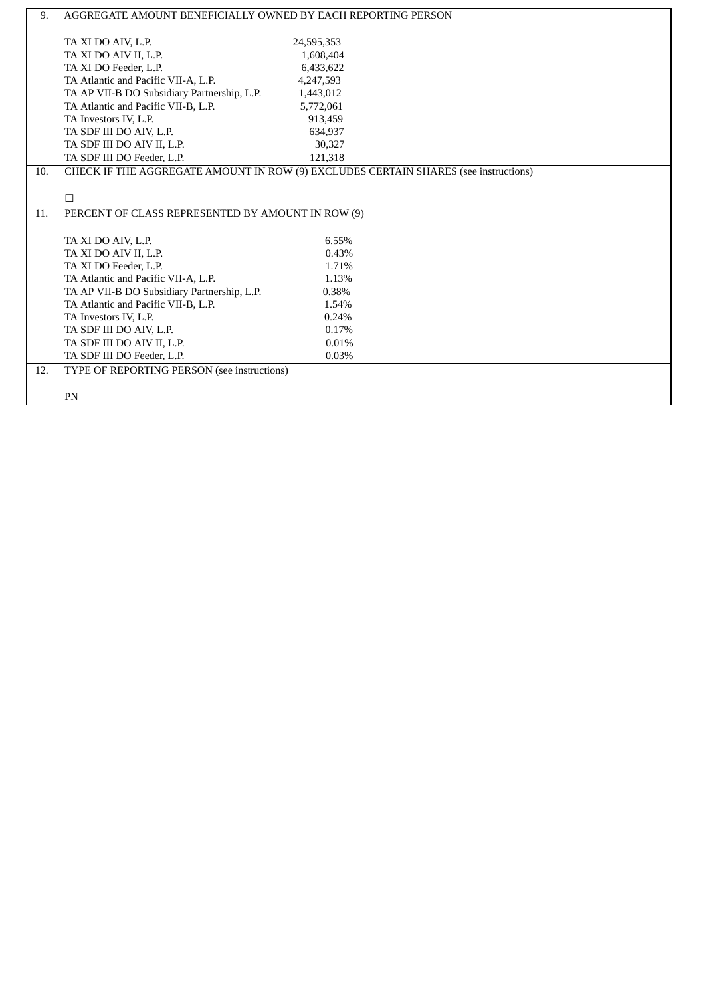| 9.  | AGGREGATE AMOUNT BENEFICIALLY OWNED BY EACH REPORTING PERSON                        |            |  |  |  |  |
|-----|-------------------------------------------------------------------------------------|------------|--|--|--|--|
|     |                                                                                     |            |  |  |  |  |
|     | TA XI DO AIV, L.P.                                                                  | 24,595,353 |  |  |  |  |
|     | TA XI DO AIV II, L.P.                                                               | 1,608,404  |  |  |  |  |
|     | TA XI DO Feeder, L.P.                                                               | 6,433,622  |  |  |  |  |
|     | TA Atlantic and Pacific VII-A, L.P.                                                 | 4,247,593  |  |  |  |  |
|     | TA AP VII-B DO Subsidiary Partnership, L.P.                                         | 1,443,012  |  |  |  |  |
|     | TA Atlantic and Pacific VII-B, L.P.                                                 | 5,772,061  |  |  |  |  |
|     | TA Investors IV, L.P.                                                               | 913,459    |  |  |  |  |
|     | TA SDF III DO AIV, L.P.                                                             | 634,937    |  |  |  |  |
|     | TA SDF III DO AIV II, L.P.                                                          | 30.327     |  |  |  |  |
|     | TA SDF III DO Feeder, L.P.                                                          | 121,318    |  |  |  |  |
| 10. | CHECK IF THE AGGREGATE AMOUNT IN ROW (9) EXCLUDES CERTAIN SHARES (see instructions) |            |  |  |  |  |
|     |                                                                                     |            |  |  |  |  |
|     | $\Box$                                                                              |            |  |  |  |  |
|     | PERCENT OF CLASS REPRESENTED BY AMOUNT IN ROW (9)                                   |            |  |  |  |  |
| 11. |                                                                                     |            |  |  |  |  |
|     |                                                                                     |            |  |  |  |  |
|     | TA XI DO AIV, L.P.                                                                  | 6.55%      |  |  |  |  |
|     | TA XI DO AIV II, L.P.                                                               | 0.43%      |  |  |  |  |
|     | TA XI DO Feeder, L.P.                                                               | 1.71%      |  |  |  |  |
|     | TA Atlantic and Pacific VII-A, L.P.                                                 | 1.13%      |  |  |  |  |
|     | TA AP VII-B DO Subsidiary Partnership, L.P.                                         | 0.38%      |  |  |  |  |
|     | TA Atlantic and Pacific VII-B, L.P.                                                 | 1.54%      |  |  |  |  |
|     | TA Investors IV, L.P.                                                               | 0.24%      |  |  |  |  |
|     | TA SDF III DO AIV, L.P.                                                             | 0.17%      |  |  |  |  |
|     | TA SDF III DO AIV II, L.P.                                                          | 0.01%      |  |  |  |  |
|     | TA SDF III DO Feeder, L.P.                                                          | 0.03%      |  |  |  |  |
|     |                                                                                     |            |  |  |  |  |
| 12. | TYPE OF REPORTING PERSON (see instructions)                                         |            |  |  |  |  |
|     | PN                                                                                  |            |  |  |  |  |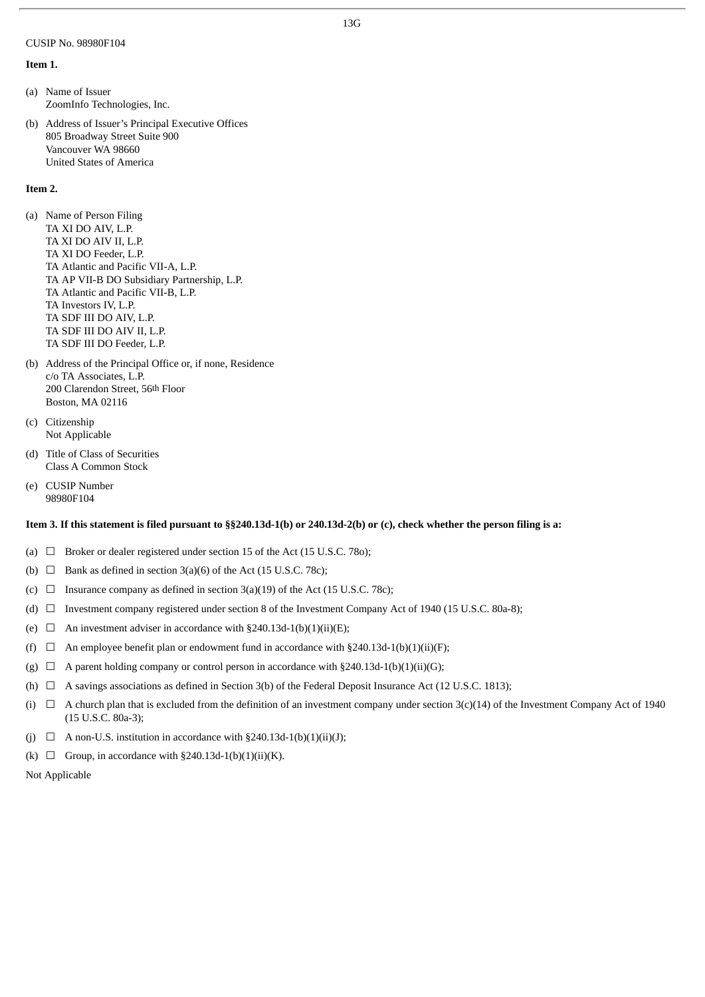#### CUSIP No. 98980F104

#### **Item 1.**

(a) Name of Issuer ZoomInfo Technologies, Inc.

(b) Address of Issuer's Principal Executive Offices 805 Broadway Street Suite 900 Vancouver WA 98660 United States of America

#### **Item 2.**

- (a) Name of Person Filing TA XI DO AIV, L.P. TA XI DO AIV II, L.P. TA XI DO Feeder, L.P. TA Atlantic and Pacific VII-A, L.P. TA AP VII-B DO Subsidiary Partnership, L.P. TA Atlantic and Pacific VII-B, L.P. TA Investors IV, L.P. TA SDF III DO AIV, L.P. TA SDF III DO AIV II, L.P. TA SDF III DO Feeder, L.P.
- (b) Address of the Principal Office or, if none, Residence c/o TA Associates, L.P. 200 Clarendon Street, 56th Floor Boston, MA 02116
- (c) Citizenship Not Applicable
- (d) Title of Class of Securities Class A Common Stock
- (e) CUSIP Number 98980F104

#### Item 3. If this statement is filed pursuant to §§240.13d-1(b) or 240.13d-2(b) or (c), check whether the person filing is a:

- (a)  $\Box$  Broker or dealer registered under section 15 of the Act (15 U.S.C. 780);
- (b)  $\Box$  Bank as defined in section 3(a)(6) of the Act (15 U.S.C. 78c);
- (c)  $\Box$  Insurance company as defined in section 3(a)(19) of the Act (15 U.S.C. 78c);
- (d) ☐ Investment company registered under section 8 of the Investment Company Act of 1940 (15 U.S.C. 80a-8);
- (e)  $\Box$  An investment adviser in accordance with §240.13d-1(b)(1)(ii)(E);
- (f)  $\Box$  An employee benefit plan or endowment fund in accordance with §240.13d-1(b)(1)(ii)(F);
- (g)  $\Box$  A parent holding company or control person in accordance with §240.13d-1(b)(1)(ii)(G);
- (h)  $\Box$  A savings associations as defined in Section 3(b) of the Federal Deposit Insurance Act (12 U.S.C. 1813);
- (i)  $\Box$  A church plan that is excluded from the definition of an investment company under section 3(c)(14) of the Investment Company Act of 1940 (15 U.S.C. 80a-3);
- (j)  $\Box$  A non-U.S. institution in accordance with §240.13d-1(b)(1)(ii)(J);
- (k)  $\Box$  Group, in accordance with §240.13d-1(b)(1)(ii)(K).

Not Applicable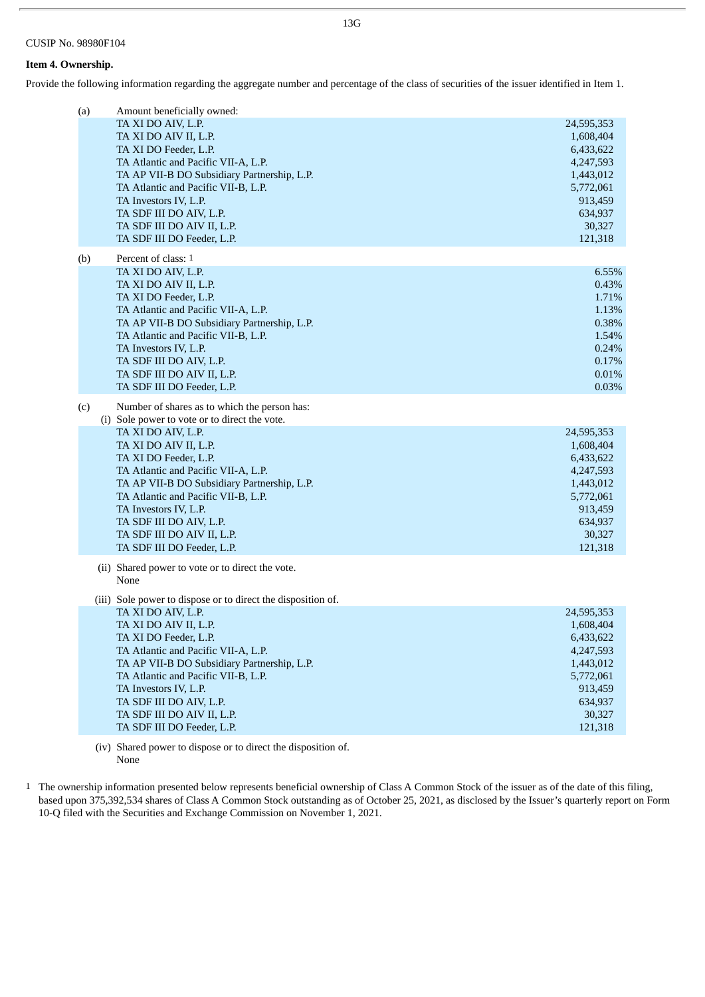#### **Item 4. Ownership.**

Provide the following information regarding the aggregate number and percentage of the class of securities of the issuer identified in Item 1.

| (a) | Amount beneficially owned:                                                                                                                                                                                                                                                                                                                                                                                         |                                                                                                                        |
|-----|--------------------------------------------------------------------------------------------------------------------------------------------------------------------------------------------------------------------------------------------------------------------------------------------------------------------------------------------------------------------------------------------------------------------|------------------------------------------------------------------------------------------------------------------------|
|     | TA XI DO AIV, L.P.<br>TA XI DO AIV II, L.P.<br>TA XI DO Feeder, L.P.<br>TA Atlantic and Pacific VII-A, L.P.<br>TA AP VII-B DO Subsidiary Partnership, L.P.<br>TA Atlantic and Pacific VII-B, L.P.<br>TA Investors IV, L.P.<br>TA SDF III DO AIV, L.P.<br>TA SDF III DO AIV II, L.P.<br>TA SDF III DO Feeder, L.P.                                                                                                  | 24,595,353<br>1,608,404<br>6,433,622<br>4,247,593<br>1,443,012<br>5,772,061<br>913,459<br>634,937<br>30,327<br>121,318 |
| (b) | Percent of class: 1<br>TA XI DO AIV, L.P.<br>TA XI DO AIV II, L.P.<br>TA XI DO Feeder, L.P.<br>TA Atlantic and Pacific VII-A, L.P.<br>TA AP VII-B DO Subsidiary Partnership, L.P.<br>TA Atlantic and Pacific VII-B, L.P.<br>TA Investors IV, L.P.<br>TA SDF III DO AIV, L.P.<br>TA SDF III DO AIV II, L.P.<br>TA SDF III DO Feeder, L.P.                                                                           | 6.55%<br>0.43%<br>1.71%<br>1.13%<br>0.38%<br>1.54%<br>0.24%<br>0.17%<br>0.01%<br>0.03%                                 |
| (c) | Number of shares as to which the person has:<br>(i) Sole power to vote or to direct the vote.<br>TA XI DO AIV, L.P.<br>TA XI DO AIV II, L.P.<br>TA XI DO Feeder, L.P.<br>TA Atlantic and Pacific VII-A, L.P.<br>TA AP VII-B DO Subsidiary Partnership, L.P.<br>TA Atlantic and Pacific VII-B, L.P.<br>TA Investors IV, L.P.<br>TA SDF III DO AIV, L.P.<br>TA SDF III DO AIV II, L.P.<br>TA SDF III DO Feeder, L.P. | 24,595,353<br>1,608,404<br>6,433,622<br>4,247,593<br>1,443,012<br>5,772,061<br>913,459<br>634,937<br>30,327<br>121,318 |
|     | (ii) Shared power to vote or to direct the vote.<br>None                                                                                                                                                                                                                                                                                                                                                           |                                                                                                                        |
|     | (iii) Sole power to dispose or to direct the disposition of.<br>TA XI DO AIV, L.P.<br>TA XI DO AIV II, L.P.<br>TA XI DO Feeder, L.P.<br>TA Atlantic and Pacific VII-A, L.P.<br>TA AP VII-B DO Subsidiary Partnership, L.P.<br>TA Atlantic and Pacific VII-B, L.P.<br>TA Investors IV, L.P.<br>TA SDF III DO AIV, L.P.<br>TA SDF III DO AIV II, L.P.<br>TA SDF III DO Feeder, L.P.                                  | 24,595,353<br>1,608,404<br>6,433,622<br>4,247,593<br>1,443,012<br>5,772,061<br>913,459<br>634,937<br>30,327<br>121,318 |

(iv) Shared power to dispose or to direct the disposition of. None

1 The ownership information presented below represents beneficial ownership of Class A Common Stock of the issuer as of the date of this filing, based upon 375,392,534 shares of Class A Common Stock outstanding as of October 25, 2021, as disclosed by the Issuer's quarterly report on Form 10-Q filed with the Securities and Exchange Commission on November 1, 2021.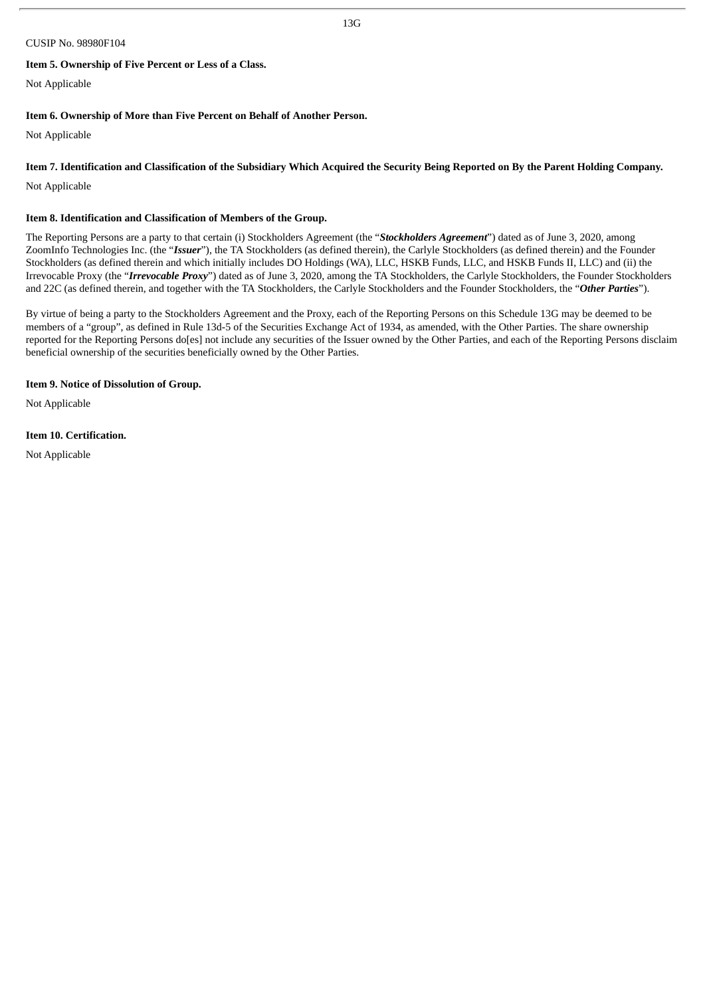#### CUSIP No. 98980F104

#### **Item 5. Ownership of Five Percent or Less of a Class.**

Not Applicable

#### **Item 6. Ownership of More than Five Percent on Behalf of Another Person.**

Not Applicable

#### Item 7. Identification and Classification of the Subsidiary Which Acquired the Security Being Reported on By the Parent Holding Company.

Not Applicable

#### **Item 8. Identification and Classification of Members of the Group.**

The Reporting Persons are a party to that certain (i) Stockholders Agreement (the "*Stockholders Agreement*") dated as of June 3, 2020, among ZoomInfo Technologies Inc. (the "*Issuer*"), the TA Stockholders (as defined therein), the Carlyle Stockholders (as defined therein) and the Founder Stockholders (as defined therein and which initially includes DO Holdings (WA), LLC, HSKB Funds, LLC, and HSKB Funds II, LLC) and (ii) the Irrevocable Proxy (the "*Irrevocable Proxy*") dated as of June 3, 2020, among the TA Stockholders, the Carlyle Stockholders, the Founder Stockholders and 22C (as defined therein, and together with the TA Stockholders, the Carlyle Stockholders and the Founder Stockholders, the "*Other Parties*").

By virtue of being a party to the Stockholders Agreement and the Proxy, each of the Reporting Persons on this Schedule 13G may be deemed to be members of a "group", as defined in Rule 13d-5 of the Securities Exchange Act of 1934, as amended, with the Other Parties. The share ownership reported for the Reporting Persons do[es] not include any securities of the Issuer owned by the Other Parties, and each of the Reporting Persons disclaim beneficial ownership of the securities beneficially owned by the Other Parties.

#### **Item 9. Notice of Dissolution of Group.**

Not Applicable

#### **Item 10. Certification.**

Not Applicable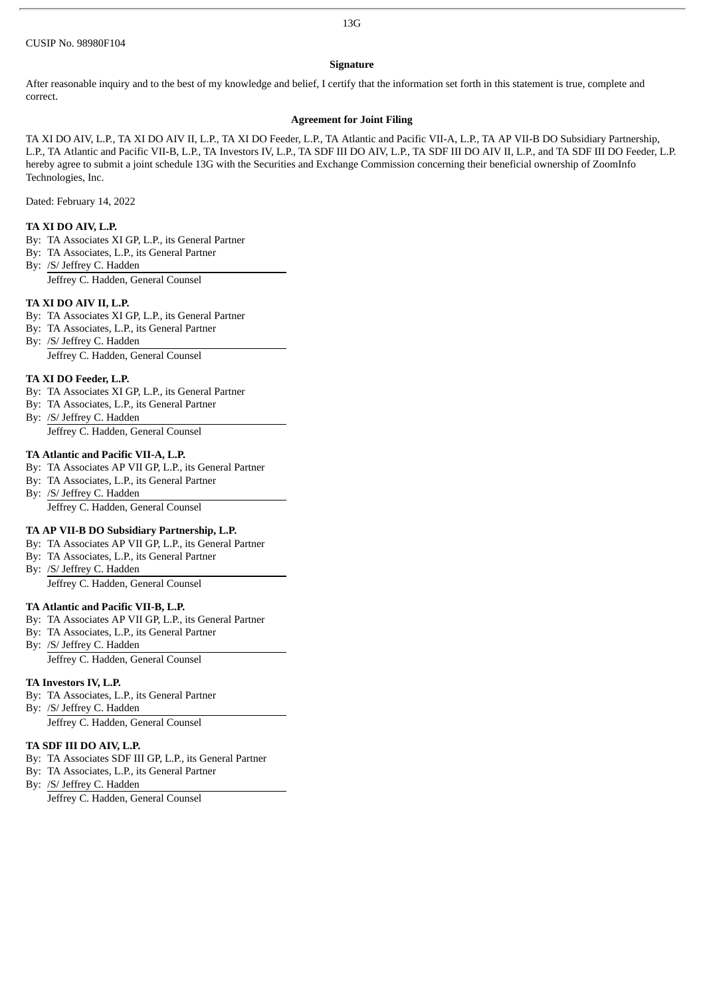#### 13G

#### **Signature**

After reasonable inquiry and to the best of my knowledge and belief, I certify that the information set forth in this statement is true, complete and correct.

#### **Agreement for Joint Filing**

TA XI DO AIV, L.P., TA XI DO AIV II, L.P., TA XI DO Feeder, L.P., TA Atlantic and Pacific VII-A, L.P., TA AP VII-B DO Subsidiary Partnership, L.P., TA Atlantic and Pacific VII-B, L.P., TA Investors IV, L.P., TA SDF III DO AIV, L.P., TA SDF III DO AIV II, L.P., and TA SDF III DO Feeder, L.P. hereby agree to submit a joint schedule 13G with the Securities and Exchange Commission concerning their beneficial ownership of ZoomInfo Technologies, Inc.

Dated: February 14, 2022

#### **TA XI DO AIV, L.P.**

- By: TA Associates XI GP, L.P., its General Partner
- By: TA Associates, L.P., its General Partner
- By: /S/ Jeffrey C. Hadden

Jeffrey C. Hadden, General Counsel

#### **TA XI DO AIV II, L.P.**

- By: TA Associates XI GP, L.P., its General Partner
- By: TA Associates, L.P., its General Partner
- By: /S/ Jeffrey C. Hadden

Jeffrey C. Hadden, General Counsel

#### **TA XI DO Feeder, L.P.**

- By: TA Associates XI GP, L.P., its General Partner
- By: TA Associates, L.P., its General Partner
- By: /S/ Jeffrey C. Hadden Jeffrey C. Hadden, General Counsel

#### **TA Atlantic and Pacific VII-A, L.P.**

- By: TA Associates AP VII GP, L.P., its General Partner
- By: TA Associates, L.P., its General Partner
- By: /S/ Jeffrey C. Hadden

Jeffrey C. Hadden, General Counsel

#### **TA AP VII-B DO Subsidiary Partnership, L.P.**

- By: TA Associates AP VII GP, L.P., its General Partner
- By: TA Associates, L.P., its General Partner
- By: /S/ Jeffrey C. Hadden Jeffrey C. Hadden, General Counsel

- **TA Atlantic and Pacific VII-B, L.P.**
- By: TA Associates AP VII GP, L.P., its General Partner
- By: TA Associates, L.P., its General Partner
- By: /S/ Jeffrey C. Hadden Jeffrey C. Hadden, General Counsel

#### **TA Investors IV, L.P.**

- By: TA Associates, L.P., its General Partner
- By: /S/ Jeffrey C. Hadden Jeffrey C. Hadden, General Counsel

#### **TA SDF III DO AIV, L.P.**

- By: TA Associates SDF III GP, L.P., its General Partner
- By: TA Associates, L.P., its General Partner
- By: /S/ Jeffrey C. Hadden Jeffrey C. Hadden, General Counsel